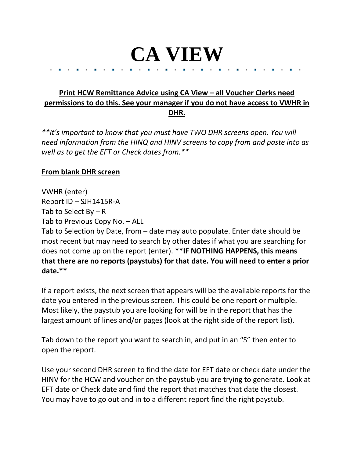## **CA VIEW**

## **Print HCW Remittance Advice using CA View – all Voucher Clerks need permissions to do this. See your manager if you do not have access to VWHR in DHR.**

*\*\*It's important to know that you must have TWO DHR screens open. You will need information from the HINQ and HINV screens to copy from and paste into as well as to get the EFT or Check dates from.\*\**

## **From blank DHR screen**

VWHR (enter) Report ID – SJH1415R-A Tab to Select  $By - R$ Tab to Previous Copy No. – ALL Tab to Selection by Date, from – date may auto populate. Enter date should be most recent but may need to search by other dates if what you are searching for does not come up on the report (enter). **\*\*IF NOTHING HAPPENS, this means that there are no reports (paystubs) for that date. You will need to enter a prior date.\*\***

If a report exists, the next screen that appears will be the available reports for the date you entered in the previous screen. This could be one report or multiple. Most likely, the paystub you are looking for will be in the report that has the largest amount of lines and/or pages (look at the right side of the report list).

Tab down to the report you want to search in, and put in an "S" then enter to open the report.

Use your second DHR screen to find the date for EFT date or check date under the HINV for the HCW and voucher on the paystub you are trying to generate. Look at EFT date or Check date and find the report that matches that date the closest. You may have to go out and in to a different report find the right paystub.